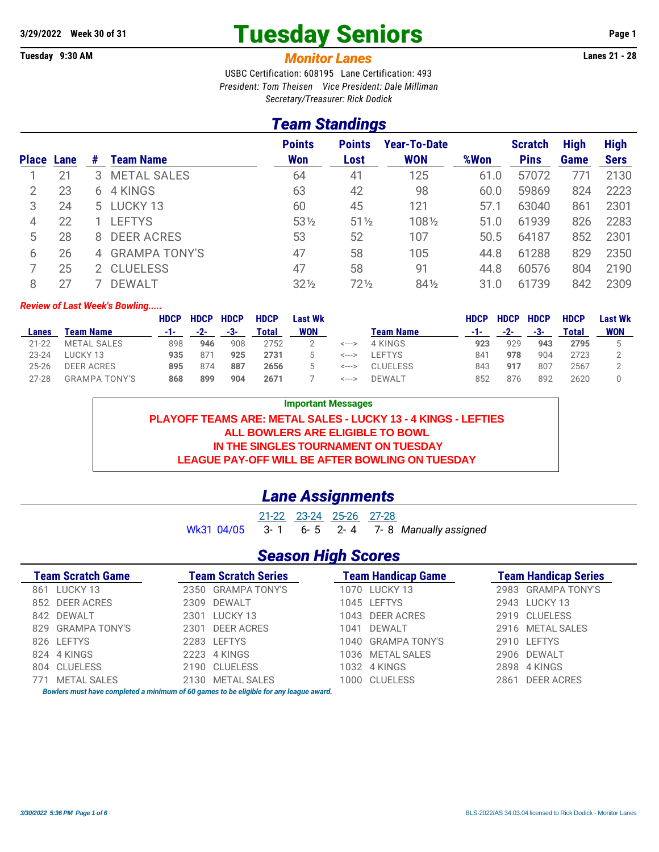# 3/29/2022 Week 30 of 31 **Tuesday Seniors** Page 1

**Tuesday 9:30 AM** *Monitor Lanes* **Lanes 21 - 28**

USBC Certification: 608195 Lane Certification: 493 *President: Tom Theisen Vice President: Dale Milliman Secretary/Treasurer: Rick Dodick*

#### *Team Standings*

|                   |    |   |                    | <b>Points</b>   | <b>Points</b>   | <b>Year-To-Date</b> |      | <b>Scratch</b> | <b>High</b> | <b>High</b> |
|-------------------|----|---|--------------------|-----------------|-----------------|---------------------|------|----------------|-------------|-------------|
| <b>Place Lane</b> |    | # | Team Name          | <b>Won</b>      | Lost            | <b>WON</b>          | %Won | <b>Pins</b>    | Game        | <b>Sers</b> |
|                   | 21 | 3 | <b>METAL SALES</b> | 64              | 41              | 125                 | 61.0 | 57072          | 771         | 2130        |
| 2                 | 23 |   | 6 4 KINGS          | 63              | 42              | 98                  | 60.0 | 59869          | 824         | 2223        |
| 3                 | 24 |   | 5 LUCKY 13         | 60              | 45              | 121                 | 57.1 | 63040          | 861         | 2301        |
| 4                 | 22 |   | <b>LEFTYS</b>      | $53\frac{1}{2}$ | $51\%$          | 1081/2              | 51.0 | 61939          | 826         | 2283        |
| 5                 | 28 |   | 8 DEER ACRES       | 53              | 52              | 107                 | 50.5 | 64187          | 852         | 2301        |
| 6                 | 26 |   | 4 GRAMPA TONY'S    | 47              | 58              | 105                 | 44.8 | 61288          | 829         | 2350        |
|                   | 25 |   | 2 CLUELESS         | 47              | 58              | 91                  | 44.8 | 60576          | 804         | 2190        |
| 8                 |    |   | <b>DEWALT</b>      | $32\frac{1}{2}$ | $72\frac{1}{2}$ | $84\frac{1}{2}$     | 31.0 | 61739          | 842         | 2309        |

#### *Review of Last Week's Bowling.....*

|              |                      | <b>HDCP</b> | <b>HDCP</b> | <b>HDCP</b> | <b>HDCP</b> | Last Wk |       |               | <b>HDCP</b> | <b>HDCP</b> | <b>HDCP</b> | <b>HDCP</b> | Last Wk    |
|--------------|----------------------|-------------|-------------|-------------|-------------|---------|-------|---------------|-------------|-------------|-------------|-------------|------------|
| <b>Lanes</b> | Team Name            | -1-         | $-2-$       | -3-         | Total       | WON     |       | Team Name     | -1-         | $-2-$       | -3-         | Total       | <b>WON</b> |
| $21 - 22$    | METAL SALES          | 898         | 946         | 908         | 2752        |         | <---> | 4 KINGS       | 923         | 929         | 943         | 2795        |            |
| $23 - 24$    | LUCKY 13             | 935         | 87          | 925         | 2731        |         | <---> | <b>FFTYS</b>  | 841         | 978         | 904         | 2723        |            |
| $25 - 26$    | <b>DEER ACRES</b>    | 895         | 874         | 887         | 2656        |         | <---> | CI UFI FSS    | 843         | 917         | 807         | 2567        |            |
| $27 - 28$    | <b>GRAMPA TONY'S</b> | 868         | 899         | 904         | 2671        |         | <---> | <b>DEWALT</b> | 852         | 876         | 892         | 2620        |            |

**Important Messages PLAYOFF TEAMS ARE: METAL SALES - LUCKY 13 - 4 KINGS - LEFTIES ALL BOWLERS ARE ELIGIBLE TO BOWL IN THE SINGLES TOURNAMENT ON TUESDAY LEAGUE PAY-OFF WILL BE AFTER BOWLING ON TUESDAY**

#### *Lane Assignments*

21-22 23-24 25-26 27-28 Wk31 04/05 3- 1 6- 5 2- 4 7- 8 *Manually assigned*

### *Season High Scores*

| <b>Team Scratch Game</b> | <b>Team Scratch Series</b>                                                                                    | <b>Team Handicap Game</b> | <b>Team Handicap Series</b> |  |  |  |
|--------------------------|---------------------------------------------------------------------------------------------------------------|---------------------------|-----------------------------|--|--|--|
| 861 LUCKY 13             | 2350 GRAMPA TONY'S                                                                                            | 1070 LUCKY 13             | 2983 GRAMPA TONY'S          |  |  |  |
| 852 DEER ACRES           | 2309 DEWALT                                                                                                   | 1045 LEFTYS               | 2943 LUCKY 13               |  |  |  |
| 842 DEWALT               | 2301 LUCKY 13                                                                                                 | 1043 DEER ACRES           | 2919 CLUELESS               |  |  |  |
| 829 GRAMPA TONY'S        | 2301 DEER ACRES                                                                                               | 1041 DEWALT               | 2916 METAL SALES            |  |  |  |
| 826 LEFTYS               | 2283 LEFTYS                                                                                                   | 1040 GRAMPA TONY'S        | 2910 LEFTYS                 |  |  |  |
| 824 4 KINGS              | 2223 4 KINGS                                                                                                  | 1036 METAL SALES          | 2906 DEWALT                 |  |  |  |
| 804 CLUELESS             | 2190 CLUELESS                                                                                                 | 1032 4 KINGS              | 2898 4 KINGS                |  |  |  |
| 771 METAL SALES          | 2130 METAL SALES                                                                                              | 1000 CLUELESS             | 2861 DEER ACRES             |  |  |  |
|                          | The colour account have a completed a metatronic of CA management of the CRMM bullet of a complete service of |                           |                             |  |  |  |

*Bowlers must have completed a minimum of 60 games to be eligible for any league award.*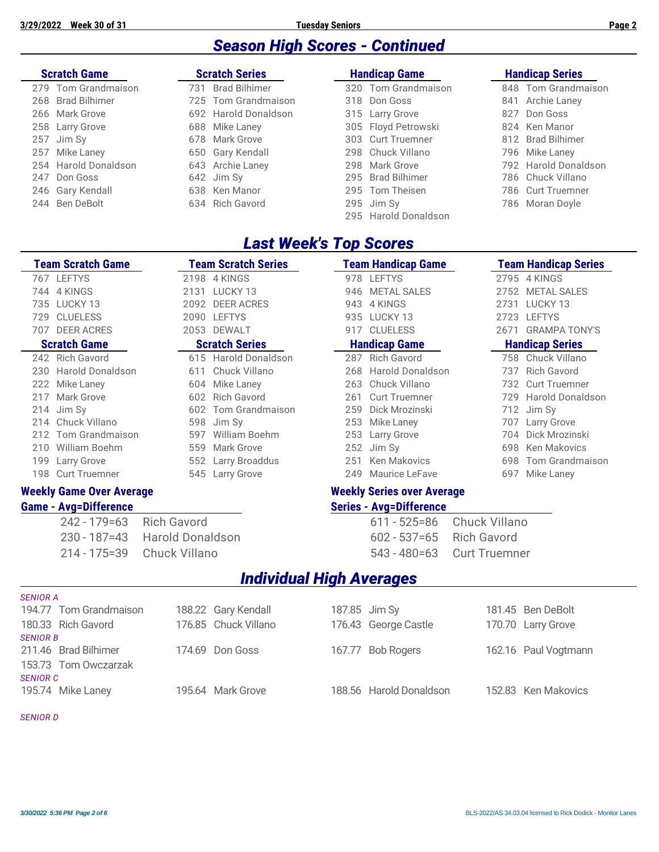## *Season High Scores - Continued*

| <b>Scratch Game</b>  | <b>Scratch Series</b>       | <b>Handicap Game</b> | <b>Handicap Series</b> |
|----------------------|-----------------------------|----------------------|------------------------|
| 279 Tom Grandmaison  | <b>Brad Bilhimer</b><br>731 | 320 Tom Grandmaison  | 848 Tom Grandmaison    |
| 268 Brad Bilhimer    | 725 Tom Grandmaison         | 318 Don Goss         | Archie Laney<br>841    |
| 266 Mark Grove       | 692 Harold Donaldson        | 315 Larry Grove      | Don Goss<br>827        |
| 258 Larry Grove      | 688 Mike Laney              | 305 Floyd Petrowski  | 824 Ken Manor          |
| 257 Jim Sy           | 678 Mark Grove              | 303 Curt Truemner    | 812 Brad Bilhimer      |
| 257 Mike Laney       | 650 Gary Kendall            | 298 Chuck Villano    | 796 Mike Laney         |
| 254 Harold Donaldson | 643 Archie Laney            | 298 Mark Grove       | 792 Harold Donaldson   |
| 247 Don Goss         | 642 Jim Sy                  | 295 Brad Bilhimer    | 786 Chuck Villano      |
| 246 Gary Kendall     | 638 Ken Manor               | 295 Tom Theisen      | 786 Curt Truemner      |
| 244 Ben DeBolt       | 634 Rich Gavord             | $295$ Jim Sy         | 786 Moran Doyle        |
|                      |                             | 295 Harold Donaldson |                        |

### *Last Week's Top Scores*

| <b>Team Scratch Game</b> |                                              |                         | <b>Team Scratch Series</b>      |                      | <b>Team Handicap Game</b>         |                        | <b>Team Handicap Series</b> |  |  |  |
|--------------------------|----------------------------------------------|-------------------------|---------------------------------|----------------------|-----------------------------------|------------------------|-----------------------------|--|--|--|
|                          | 767 LEFTYS                                   |                         | 2198 4 KINGS                    |                      | 978 LEFTYS                        |                        | 2795 4 KINGS                |  |  |  |
| 744                      | 4 KINGS                                      |                         | 2131 LUCKY 13                   | 946                  | <b>METAL SALES</b>                | 2752                   | <b>METAL SALES</b>          |  |  |  |
| 735                      | LUCKY 13                                     |                         | 2092 DEER ACRES                 | 943                  | 4 KINGS                           | 2731                   | LUCKY 13                    |  |  |  |
| 729                      | <b>CLUELESS</b>                              |                         | 2090 LEFTYS                     |                      | 935 LUCKY 13                      | 2723                   | <b>LEFTYS</b>               |  |  |  |
| 707                      | <b>DEER ACRES</b>                            |                         | 2053 DEWALT                     | 917                  | <b>CLUELESS</b>                   | 2671                   | <b>GRAMPA TONY'S</b>        |  |  |  |
|                          | <b>Scratch Series</b><br><b>Scratch Game</b> |                         |                                 | <b>Handicap Game</b> |                                   | <b>Handicap Series</b> |                             |  |  |  |
| 242                      | <b>Rich Gavord</b>                           |                         | 615 Harold Donaldson            | 287                  | <b>Rich Gavord</b>                | 758                    | Chuck Villano               |  |  |  |
| 230                      | <b>Harold Donaldson</b>                      | 611                     | Chuck Villano                   | 268                  | <b>Harold Donaldson</b>           | 737                    | <b>Rich Gavord</b>          |  |  |  |
| 222                      | Mike Laney                                   | 604                     | Mike Laney                      | 263                  | Chuck Villano                     | 732                    | <b>Curt Truemner</b>        |  |  |  |
| 217                      | Mark Grove                                   | 602                     | <b>Rich Gavord</b>              | 261                  | <b>Curt Truemner</b>              | 729                    | <b>Harold Donaldson</b>     |  |  |  |
| 214                      | Jim Sy                                       | 602                     | <b>Tom Grandmaison</b>          | 259                  | Dick Mrozinski                    | 712                    | Jim Sy                      |  |  |  |
| 214                      | Chuck Villano                                | 598                     | Jim Sy                          | 253                  | Mike Laney                        | 707                    | <b>Larry Grove</b>          |  |  |  |
| 212                      | <b>Tom Grandmaison</b>                       | 597                     | William Boehm                   | 253                  | Larry Grove                       |                        | 704 Dick Mrozinski          |  |  |  |
| 210                      | William Boehm                                | 559                     | Mark Grove                      | 252                  | Jim Sy                            | 698                    | <b>Ken Makovics</b>         |  |  |  |
| 199                      | Larry Grove                                  |                         | 552 Larry Broaddus              | 251                  | <b>Ken Makovics</b>               | 698                    | Tom Grandmaison             |  |  |  |
| 198                      | <b>Curt Truemner</b>                         |                         | 545 Larry Grove                 | 249                  | Maurice LeFave                    | 697                    | Mike Laney                  |  |  |  |
|                          | <b>Weekly Game Over Average</b>              |                         |                                 |                      | <b>Weekly Series over Average</b> |                        |                             |  |  |  |
|                          | <b>Game - Avg=Difference</b>                 |                         |                                 |                      | <b>Series - Avg=Difference</b>    |                        |                             |  |  |  |
|                          | $242 - 179 = 63$                             | <b>Rich Gavord</b>      |                                 |                      | $611 - 525 = 86$                  | Chuck Villano          |                             |  |  |  |
|                          | $230 - 187 = 43$                             | <b>Harold Donaldson</b> |                                 |                      | $602 - 537 = 65$                  | <b>Rich Gavord</b>     |                             |  |  |  |
|                          | $214 - 175 = 39$                             | Chuck Villano           |                                 |                      | $543 - 480 = 63$                  | <b>Curt Truemner</b>   |                             |  |  |  |
|                          |                                              |                         | <b>Individual High Averages</b> |                      |                                   |                        |                             |  |  |  |

| <i><b>JLIVIURA</b></i> |                        |                      |                         |                      |
|------------------------|------------------------|----------------------|-------------------------|----------------------|
|                        | 194.77 Tom Grandmaison | 188.22 Gary Kendall  | 187.85 Jim Sy           | 181.45 Ben DeBolt    |
|                        | 180.33 Rich Gavord     | 176.85 Chuck Villano | 176.43 George Castle    | 170.70 Larry Grove   |
| <b>SENIOR B</b>        |                        |                      |                         |                      |
|                        | 211.46 Brad Bilhimer   | 174.69 Don Goss      | 167.77 Bob Rogers       | 162.16 Paul Vogtmann |
|                        | 153.73 Tom Owczarzak   |                      |                         |                      |
| <b>SENIOR C</b>        |                        |                      |                         |                      |
|                        | 195.74 Mike Laney      | 195.64 Mark Grove    | 188.56 Harold Donaldson | 152.83 Ken Makovics  |
|                        |                        |                      |                         |                      |

*SENIOR D*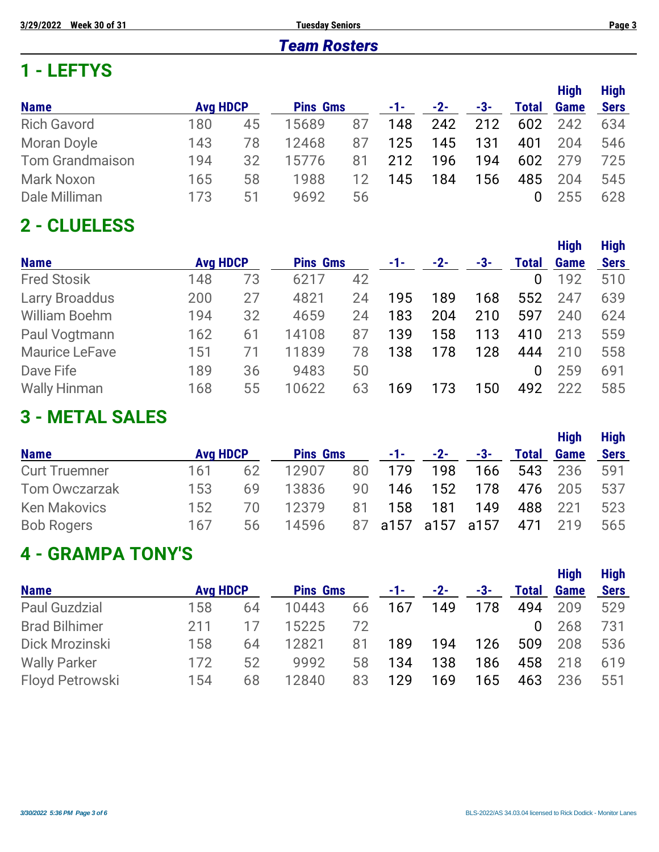#### *Team Rosters*

## **1 - LEFTYS**

|                        |                 |    |                 |    |     |       |     |              | <b>High</b> | <b>High</b> |
|------------------------|-----------------|----|-----------------|----|-----|-------|-----|--------------|-------------|-------------|
| <b>Name</b>            | <b>Avg HDCP</b> |    | <b>Pins Gms</b> |    | -1- | $-2-$ | -3- | <b>Total</b> | Game        | <b>Sers</b> |
| <b>Rich Gavord</b>     | 180             | 45 | 15689           | 87 | 148 | 242   | 212 | 602          | 242         | 634         |
| Moran Doyle            | 143             | 78 | 12468           | 87 | 125 | 145   | 131 | 401          | 204         | 546         |
| <b>Tom Grandmaison</b> | 194             | 32 | 15776           | 81 | 212 | 196   | 194 | 602          | 279         | 725         |
| <b>Mark Noxon</b>      | 165             | 58 | 1988            | 12 | 145 | 184   | 156 | 485          | 204         | 545         |
| Dale Milliman          | 173             | 51 | 9692            | 56 |     |       |     | $\Omega$     | 255         | 628         |

# **2 - CLUELESS**

|                       |                 |    |                 |    |     |       |     |              | <b>High</b> | <b>High</b> |
|-----------------------|-----------------|----|-----------------|----|-----|-------|-----|--------------|-------------|-------------|
| <b>Name</b>           | <b>Avg HDCP</b> |    | <b>Pins Gms</b> |    | -1- | $-2-$ | -3- | <b>Total</b> | <b>Game</b> | <b>Sers</b> |
| <b>Fred Stosik</b>    | 148             | 73 | 6217            | 42 |     |       |     | 0            | 192         | 510         |
| <b>Larry Broaddus</b> | 200             | 27 | 4821            | 24 | 195 | 189   | 168 | 552          | 247         | 639         |
| <b>William Boehm</b>  | 194             | 32 | 4659            | 24 | 183 | 204   | 210 | 597          | 240         | 624         |
| Paul Vogtmann         | 162             | 61 | 14108           | 87 | 139 | 158   | 113 | 410          | 213         | 559         |
| <b>Maurice LeFave</b> | 151             | 71 | 11839           | 78 | 138 | 178   | 128 | 444          | 210         | 558         |
| Dave Fife             | 189             | 36 | 9483            | 50 |     |       |     | 0            | 259         | 691         |
| <b>Wally Hinman</b>   | 168             | 55 | 10622           | 63 | 169 | 173   | 50  | 492          | 222         | 585         |

## **3 - METAL SALES**

|                      |                 |    |                 |    |       |           |       |              | <b>High</b> | <b>High</b> |
|----------------------|-----------------|----|-----------------|----|-------|-----------|-------|--------------|-------------|-------------|
| <b>Name</b>          | <b>Avg HDCP</b> |    | <b>Pins Gms</b> |    | $-1-$ | $-2-$     | $-3-$ | <b>Total</b> | <b>Game</b> | <b>Sers</b> |
| <b>Curt Truemner</b> | 161             | 62 | 12907           | 80 | 179   | 198       | 166   | 543          | 236         | 591         |
| <b>Tom Owczarzak</b> | 153             | 69 | 13836           | 90 | 146   | 152       | 178   |              | 476 205     | 537         |
| <b>Ken Makovics</b>  | 152             | 70 | 12379           | 81 | 158   | 181       | 149   | 488          | 221         | 523         |
| <b>Bob Rogers</b>    | 167             | 56 | 14596           | 87 |       | a157 a157 | a157  | 471          | 219         | 565         |

# **4 - GRAMPA TONY'S**

|                      |                 |    |                 |    |     |       |     |              | <b>High</b> | <b>High</b> |
|----------------------|-----------------|----|-----------------|----|-----|-------|-----|--------------|-------------|-------------|
| <b>Name</b>          | <b>Avg HDCP</b> |    | <b>Pins Gms</b> |    | -1- | $-2-$ | -3- | <b>Total</b> | <b>Game</b> | <b>Sers</b> |
| <b>Paul Guzdzial</b> | 158             | 64 | 10443           | 66 | 167 | 149   | 178 | 494          | 209         | 529         |
| <b>Brad Bilhimer</b> | 211             |    | 15225           | 72 |     |       |     | 0            | 268         | 731         |
| Dick Mrozinski       | 158             | 64 | 12821           | 81 | 189 | 194   | 126 | 509          | 208         | 536         |
| <b>Wally Parker</b>  | 172             | 52 | 9992            | 58 | 134 | 138   | 186 | 458          | 218         | 619         |
| Floyd Petrowski      | 154             | 68 | 12840           | 83 | 129 | 169   | 65  | 463          | 236         | 551         |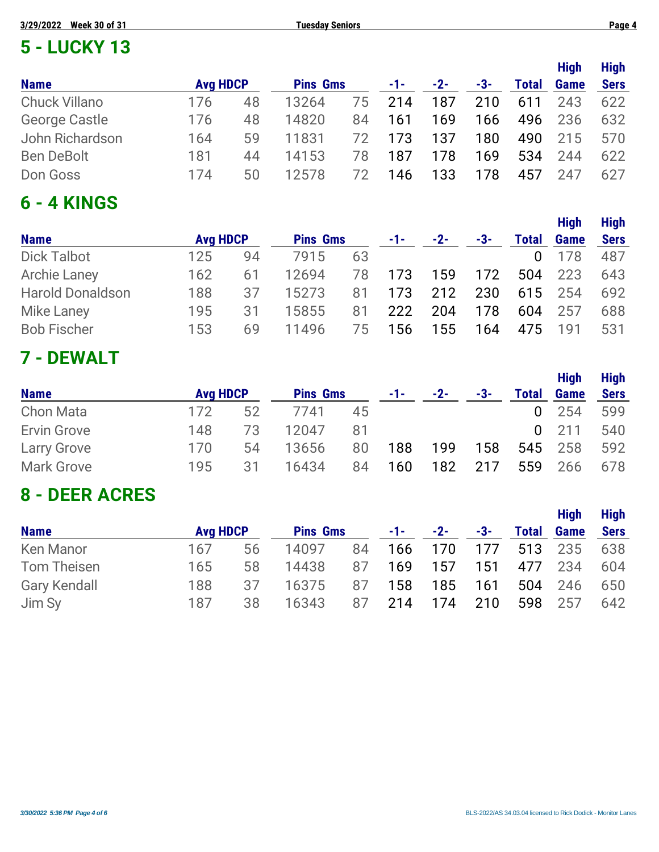| <b>Week 30 of 31</b><br>3/29/2022<br><b>Tuesday Seniors</b> |                 |    |                 |    |     |       |     |              |                     | Page 4                     |
|-------------------------------------------------------------|-----------------|----|-----------------|----|-----|-------|-----|--------------|---------------------|----------------------------|
| <b>5 - LUCKY 13</b>                                         |                 |    |                 |    |     |       |     |              |                     |                            |
| <b>Name</b>                                                 | <b>Avg HDCP</b> |    | <b>Pins Gms</b> |    | -1- | $-2-$ | -3- | <b>Total</b> | <b>High</b><br>Game | <b>High</b><br><b>Sers</b> |
| <b>Chuck Villano</b>                                        | 176             | 48 | 13264           | 75 | 214 | 187   | 210 | 611          | 243                 | 622                        |
| <b>George Castle</b>                                        | 176             | 48 | 14820           | 84 | 161 | 169   | 166 | 496          | 236                 | 632                        |
| John Richardson                                             | 164             | 59 | 11831           | 72 | 173 | 137   | 180 | 490          | 215                 | 570                        |
| <b>Ben DeBolt</b>                                           | 181             | 44 | 14153           | 78 | 187 | 178   | 169 | 534          | 244                 | 622                        |
| Don Goss                                                    | 174             | 50 | 12578           | 72 | 146 | 133   | 178 | 457          | 247                 | 627                        |

## **6 - 4 KINGS**

|                         |                 |    |                 |    |       |       |     |              | <b>High</b> | <b>High</b> |
|-------------------------|-----------------|----|-----------------|----|-------|-------|-----|--------------|-------------|-------------|
| <b>Name</b>             | <b>Avg HDCP</b> |    | <b>Pins Gms</b> |    | $-1-$ | $-2-$ | -3- | <b>Total</b> | Game        | <b>Sers</b> |
| <b>Dick Talbot</b>      | 125             | 94 | 7915            | 63 |       |       |     | $\Omega$     | 178         | 487         |
| <b>Archie Laney</b>     | 162             | 61 | 12694           | 78 | 173   | 159   | 172 | 504          | 223         | 643         |
| <b>Harold Donaldson</b> | 188             | 37 | 15273           | 81 | 173   | 212   | 230 |              | 615 254     | 692         |
| <b>Mike Laney</b>       | 195             | 31 | 15855           | 81 | 222   | 204   | 178 | 604          | 257         | 688         |
| <b>Bob Fischer</b>      | 153             | 69 | 11496           | 75 | 156   | 155   | 164 | 475          | 191         | 531         |

# **7 - DEWALT**

|                    |                 |    |                 |    |     |       |     |       | <b>High</b>  | <b>High</b> |
|--------------------|-----------------|----|-----------------|----|-----|-------|-----|-------|--------------|-------------|
| <b>Name</b>        | <b>Avg HDCP</b> |    | <b>Pins Gms</b> |    | -1- | $-2-$ | -3- | Total | Game         | <b>Sers</b> |
| <b>Chon Mata</b>   | 172             | 52 | 7741            | 45 |     |       |     | 0     | 254          | 599         |
| Ervin Grove        | 148             | 73 | 12047           | 81 |     |       |     |       | $0\quad 211$ | 540         |
| <b>Larry Grove</b> | 170             | 54 | 13656           | 80 | 188 | 199   | 158 | 545   | 258          | 592         |
| <b>Mark Grove</b>  | 195             | 31 | 16434           | 84 | 160 | 182   | 217 | 559   | 266          | 678         |

## **8 - DEER ACRES**

|                     |                 |    |                 |    |     |                |     |         | <b>High</b>       | <b>High</b> |
|---------------------|-----------------|----|-----------------|----|-----|----------------|-----|---------|-------------------|-------------|
| <b>Name</b>         | <b>Avg HDCP</b> |    | <b>Pins Gms</b> |    |     | $-1$ $-2$ $-2$ | -3- |         | <b>Total Game</b> | Sers        |
| <b>Ken Manor</b>    | 167             | 56 | 14097           | 84 |     | 166 170        | 177 | 513 235 |                   | 638         |
| Tom Theisen         | 165             | 58 | 14438           | 87 | 169 | 157            | 151 |         | 477 234           | 604         |
| <b>Gary Kendall</b> | 188             | 37 | 16375           | 87 | 158 | 185            | 161 | 504     | 246               | 650         |
| Jim Sy              | 187             | 38 | 16343           | 87 | 214 | 174            | 210 |         | 598 257           | 642         |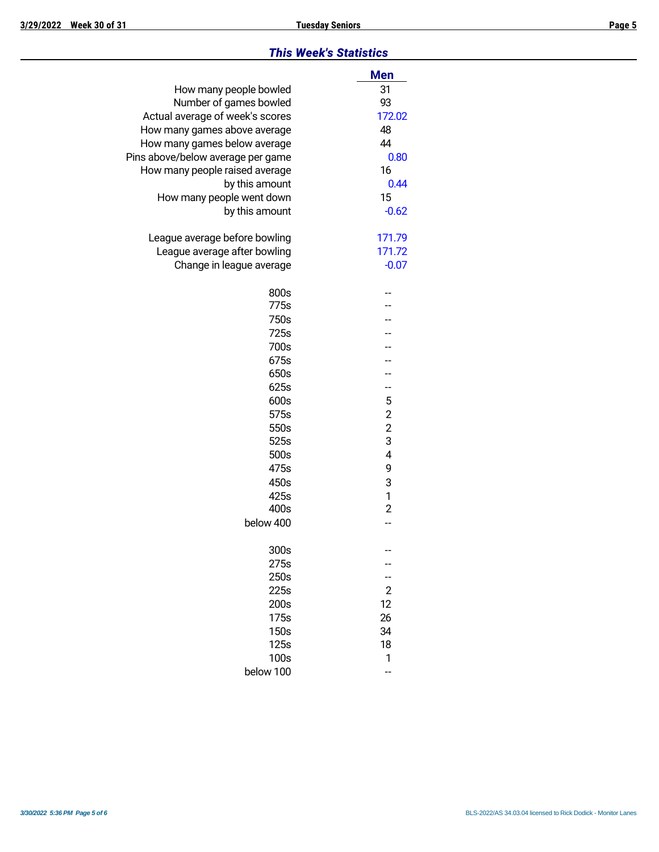#### *This Week's Statistics*

|                                   | <b>Men</b>              |
|-----------------------------------|-------------------------|
| How many people bowled            | 31                      |
| Number of games bowled            | 93                      |
| Actual average of week's scores   | 172.02                  |
| How many games above average      | 48                      |
| How many games below average      | 44                      |
| Pins above/below average per game | 0.80                    |
| How many people raised average    | 16                      |
| by this amount                    | 0.44                    |
| How many people went down         | 15                      |
| by this amount                    | $-0.62$                 |
| League average before bowling     | 171.79                  |
| League average after bowling      | 171.72                  |
| Change in league average          | $-0.07$                 |
|                                   |                         |
| 800s                              |                         |
| 775s                              |                         |
| 750s                              |                         |
| 725s                              |                         |
| 700s                              |                         |
| 675s                              |                         |
| 650s                              |                         |
| 625s                              | --                      |
| 600s                              | 5                       |
| 575s                              | $\overline{\mathbf{c}}$ |
| 550s                              | $\frac{2}{3}$           |
| 525s                              |                         |
| 500s                              | $\overline{4}$          |
| 475s                              | 9                       |
| 450s                              | 3                       |
| 425s                              | 1                       |
| 400s                              | $\overline{2}$          |
| below 400                         |                         |
| 300s                              |                         |
| 275s                              |                         |
| 250s                              |                         |
| 225s                              | 2                       |
| 200s                              | 12                      |
| 175s                              | 26                      |
| 150s                              | 34                      |
| 125s                              | 18                      |
| 100s                              | 1                       |
| below 100                         |                         |
|                                   |                         |